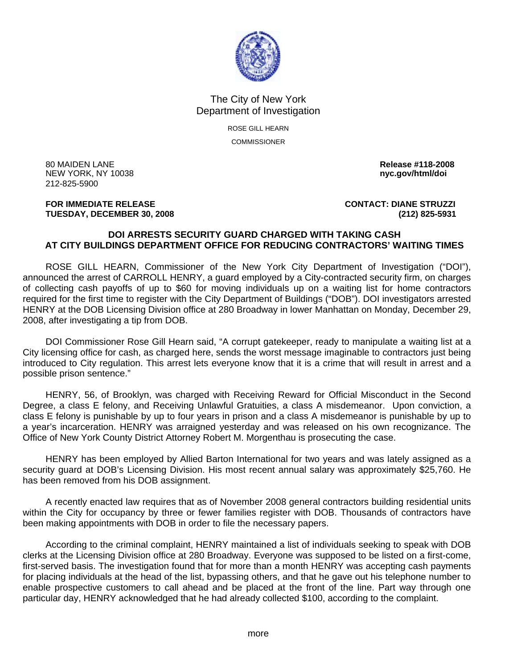

## The City of New York Department of Investigation

ROSE GILL HEARN COMMISSIONER

80 MAIDEN LANE **Release #118-2008 NEW YORK, NY 10038** 212-825-5900

## **FOR IMMEDIATE RELEASE CONTACT: DIANE STRUZZI TUESDAY, DECEMBER 30, 2008 (212) 825-5931**

## **DOI ARRESTS SECURITY GUARD CHARGED WITH TAKING CASH AT CITY BUILDINGS DEPARTMENT OFFICE FOR REDUCING CONTRACTORS' WAITING TIMES**

 ROSE GILL HEARN, Commissioner of the New York City Department of Investigation ("DOI"), announced the arrest of CARROLL HENRY, a guard employed by a City-contracted security firm, on charges of collecting cash payoffs of up to \$60 for moving individuals up on a waiting list for home contractors required for the first time to register with the City Department of Buildings ("DOB"). DOI investigators arrested HENRY at the DOB Licensing Division office at 280 Broadway in lower Manhattan on Monday, December 29, 2008, after investigating a tip from DOB.

 DOI Commissioner Rose Gill Hearn said, "A corrupt gatekeeper, ready to manipulate a waiting list at a City licensing office for cash, as charged here, sends the worst message imaginable to contractors just being introduced to City regulation. This arrest lets everyone know that it is a crime that will result in arrest and a possible prison sentence."

 HENRY, 56, of Brooklyn, was charged with Receiving Reward for Official Misconduct in the Second Degree, a class E felony, and Receiving Unlawful Gratuities, a class A misdemeanor. Upon conviction, a class E felony is punishable by up to four years in prison and a class A misdemeanor is punishable by up to a year's incarceration. HENRY was arraigned yesterday and was released on his own recognizance. The Office of New York County District Attorney Robert M. Morgenthau is prosecuting the case.

 HENRY has been employed by Allied Barton International for two years and was lately assigned as a security guard at DOB's Licensing Division. His most recent annual salary was approximately \$25,760. He has been removed from his DOB assignment.

 A recently enacted law requires that as of November 2008 general contractors building residential units within the City for occupancy by three or fewer families register with DOB. Thousands of contractors have been making appointments with DOB in order to file the necessary papers.

 According to the criminal complaint, HENRY maintained a list of individuals seeking to speak with DOB clerks at the Licensing Division office at 280 Broadway. Everyone was supposed to be listed on a first-come, first-served basis. The investigation found that for more than a month HENRY was accepting cash payments for placing individuals at the head of the list, bypassing others, and that he gave out his telephone number to enable prospective customers to call ahead and be placed at the front of the line. Part way through one particular day, HENRY acknowledged that he had already collected \$100, according to the complaint.